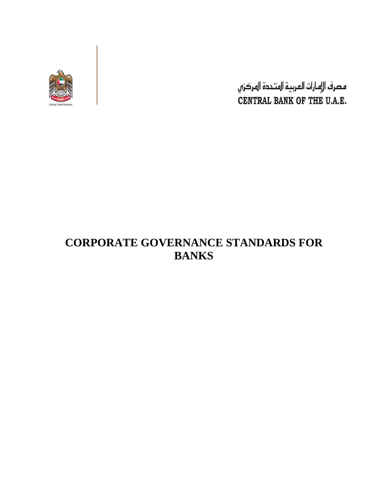

مصرف الإمارات العربية المتحدة المركزي CENTRAL BANK OF THE U.A.E.

# **CORPORATE GOVERNANCE STANDARDS FOR BANKS**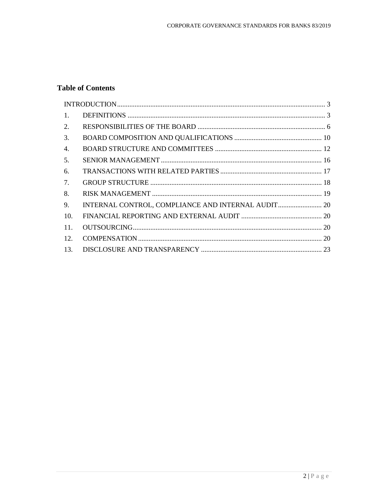# **Table of Contents**

| 1.  |  |  |
|-----|--|--|
| 2.  |  |  |
| 3.  |  |  |
| 4.  |  |  |
| 5.  |  |  |
| 6.  |  |  |
| 7.  |  |  |
| 8.  |  |  |
| 9.  |  |  |
| 10. |  |  |
| 11. |  |  |
| 12. |  |  |
| 13. |  |  |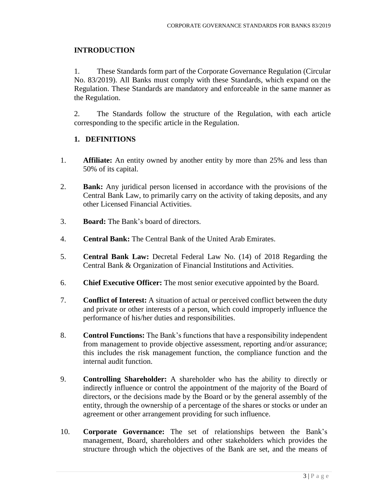#### <span id="page-2-0"></span>**INTRODUCTION**

1. These Standards form part of the Corporate Governance Regulation (Circular No. 83/2019). All Banks must comply with these Standards, which expand on the Regulation. These Standards are mandatory and enforceable in the same manner as the Regulation.

2. The Standards follow the structure of the Regulation, with each article corresponding to the specific article in the Regulation.

#### <span id="page-2-1"></span>**1. DEFINITIONS**

- 1. **Affiliate:** An entity owned by another entity by more than 25% and less than 50% of its capital.
- 2. **Bank:** Any juridical person licensed in accordance with the provisions of the Central Bank Law, to primarily carry on the activity of taking deposits, and any other Licensed Financial Activities.
- 3. **Board:** The Bank's board of directors.
- 4. **Central Bank:** The Central Bank of the United Arab Emirates.
- 5. **Central Bank Law:** Decretal Federal Law No. (14) of 2018 Regarding the Central Bank & Organization of Financial Institutions and Activities.
- 6. **Chief Executive Officer:** The most senior executive appointed by the Board.
- 7. **Conflict of Interest:** A situation of actual or perceived conflict between the duty and private or other interests of a person, which could improperly influence the performance of his/her duties and responsibilities.
- 8. **Control Functions:** The Bank's functions that have a responsibility independent from management to provide objective assessment, reporting and/or assurance; this includes the risk management function, the compliance function and the internal audit function.
- 9. **Controlling Shareholder:** A shareholder who has the ability to directly or indirectly influence or control the appointment of the majority of the Board of directors, or the decisions made by the Board or by the general assembly of the entity, through the ownership of a percentage of the shares or stocks or under an agreement or other arrangement providing for such influence.
- 10. **Corporate Governance:** The set of relationships between the Bank's management, Board, shareholders and other stakeholders which provides the structure through which the objectives of the Bank are set, and the means of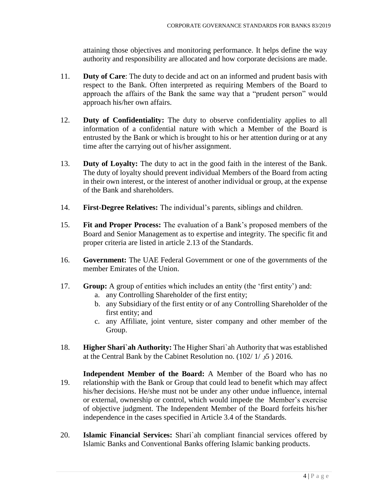attaining those objectives and monitoring performance. It helps define the way authority and responsibility are allocated and how corporate decisions are made.

- 11. **Duty of Care**: The duty to decide and act on an informed and prudent basis with respect to the Bank. Often interpreted as requiring Members of the Board to approach the affairs of the Bank the same way that a "prudent person" would approach his/her own affairs.
- 12. **Duty of Confidentiality:** The duty to observe confidentiality applies to all information of a confidential nature with which a Member of the Board is entrusted by the Bank or which is brought to his or her attention during or at any time after the carrying out of his/her assignment.
- 13. **Duty of Loyalty:** The duty to act in the good faith in the interest of the Bank. The duty of loyalty should prevent individual Members of the Board from acting in their own interest, or the interest of another individual or group, at the expense of the Bank and shareholders.
- 14. **First-Degree Relatives:** The individual's parents, siblings and children.
- 15. **Fit and Proper Process:** The evaluation of a Bank's proposed members of the Board and Senior Management as to expertise and integrity. The specific fit and proper criteria are listed in article 2.13 of the Standards.
- 16. **Government:** The UAE Federal Government or one of the governments of the member Emirates of the Union.
- 17. **Group:** A group of entities which includes an entity (the 'first entity') and:
	- a. any Controlling Shareholder of the first entity;
	- b. any Subsidiary of the first entity or of any Controlling Shareholder of the first entity; and
	- c. any Affiliate, joint venture, sister company and other member of the Group.
- 18. **Higher Shari`ah Authority:** The Higher Shari`ah Authority that was established at the Central Bank by the Cabinet Resolution no. (102/ 1/ و5 ( 2016.
- 19. **Independent Member of the Board:** A Member of the Board who has no relationship with the Bank or Group that could lead to benefit which may affect his/her decisions. He/she must not be under any other undue influence, internal or external, ownership or control, which would impede the Member's exercise of objective judgment. The Independent Member of the Board forfeits his/her independence in the cases specified in Article 3.4 of the Standards.
- 20. **Islamic Financial Services:** Shari`ah compliant financial services offered by Islamic Banks and Conventional Banks offering Islamic banking products.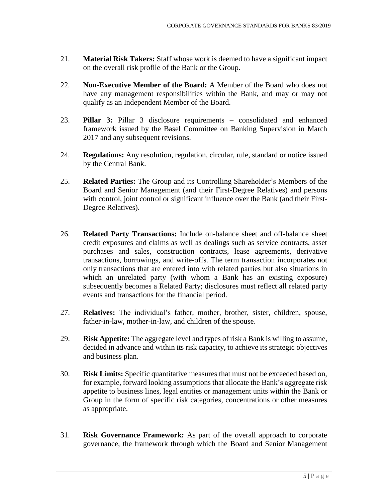- 21. **Material Risk Takers:** Staff whose work is deemed to have a significant impact on the overall risk profile of the Bank or the Group.
- 22. **Non-Executive Member of the Board:** A Member of the Board who does not have any management responsibilities within the Bank, and may or may not qualify as an Independent Member of the Board.
- 23. **Pillar 3:** Pillar 3 disclosure requirements – consolidated and enhanced framework issued by the Basel Committee on Banking Supervision in March 2017 and any subsequent revisions.
- 24. **Regulations:** Any resolution, regulation, circular, rule, standard or notice issued by the Central Bank.
- 25. **Related Parties:** The Group and its Controlling Shareholder's Members of the Board and Senior Management (and their First-Degree Relatives) and persons with control, joint control or significant influence over the Bank (and their First-Degree Relatives).
- 26. **Related Party Transactions:** Include on-balance sheet and off-balance sheet credit exposures and claims as well as dealings such as service contracts, asset purchases and sales, construction contracts, lease agreements, derivative transactions, borrowings, and write-offs. The term transaction incorporates not only transactions that are entered into with related parties but also situations in which an unrelated party (with whom a Bank has an existing exposure) subsequently becomes a Related Party; disclosures must reflect all related party events and transactions for the financial period.
- 27. **Relatives:** The individual's father, mother, brother, sister, children, spouse, father-in-law, mother-in-law, and children of the spouse.
- 29. **Risk Appetite:** The aggregate level and types of risk a Bank is willing to assume, decided in advance and within its risk capacity, to achieve its strategic objectives and business plan.
- 30. **Risk Limits:** Specific quantitative measures that must not be exceeded based on, for example, forward looking assumptions that allocate the Bank's aggregate risk appetite to business lines, legal entities or management units within the Bank or Group in the form of specific risk categories, concentrations or other measures as appropriate.
- 31. **Risk Governance Framework:** As part of the overall approach to corporate governance, the framework through which the Board and Senior Management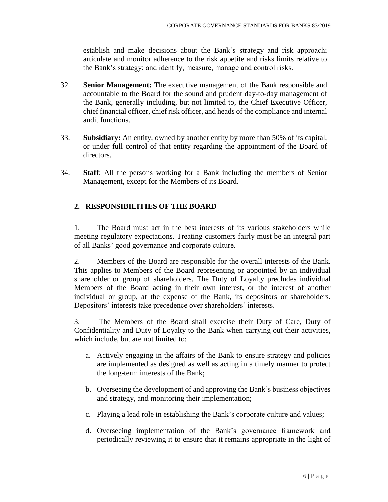establish and make decisions about the Bank's strategy and risk approach; articulate and monitor adherence to the risk appetite and risks limits relative to the Bank's strategy; and identify, measure, manage and control risks.

- 32. **Senior Management:** The executive management of the Bank responsible and accountable to the Board for the sound and prudent day-to-day management of the Bank, generally including, but not limited to, the Chief Executive Officer, chief financial officer, chief risk officer, and heads of the compliance and internal audit functions.
- 33. **Subsidiary:** An entity, owned by another entity by more than 50% of its capital, or under full control of that entity regarding the appointment of the Board of directors.
- 34. **Staff**: All the persons working for a Bank including the members of Senior Management, except for the Members of its Board.

# <span id="page-5-0"></span>**2. RESPONSIBILITIES OF THE BOARD**

1. The Board must act in the best interests of its various stakeholders while meeting regulatory expectations. Treating customers fairly must be an integral part of all Banks' good governance and corporate culture.

2. Members of the Board are responsible for the overall interests of the Bank. This applies to Members of the Board representing or appointed by an individual shareholder or group of shareholders. The Duty of Loyalty precludes individual Members of the Board acting in their own interest, or the interest of another individual or group, at the expense of the Bank, its depositors or shareholders. Depositors' interests take precedence over shareholders' interests.

3. The Members of the Board shall exercise their Duty of Care, Duty of Confidentiality and Duty of Loyalty to the Bank when carrying out their activities, which include, but are not limited to:

- a. Actively engaging in the affairs of the Bank to ensure strategy and policies are implemented as designed as well as acting in a timely manner to protect the long-term interests of the Bank;
- b. Overseeing the development of and approving the Bank's business objectives and strategy, and monitoring their implementation;
- c. Playing a lead role in establishing the Bank's corporate culture and values;
- d. Overseeing implementation of the Bank's governance framework and periodically reviewing it to ensure that it remains appropriate in the light of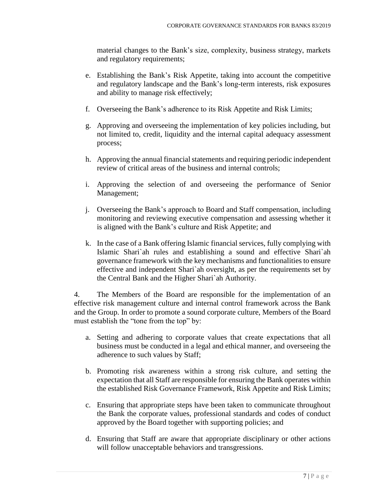material changes to the Bank's size, complexity, business strategy, markets and regulatory requirements;

- e. Establishing the Bank's Risk Appetite, taking into account the competitive and regulatory landscape and the Bank's long-term interests, risk exposures and ability to manage risk effectively;
- f. Overseeing the Bank's adherence to its Risk Appetite and Risk Limits;
- g. Approving and overseeing the implementation of key policies including, but not limited to, credit, liquidity and the internal capital adequacy assessment process;
- h. Approving the annual financial statements and requiring periodic independent review of critical areas of the business and internal controls;
- i. Approving the selection of and overseeing the performance of Senior Management;
- j. Overseeing the Bank's approach to Board and Staff compensation, including monitoring and reviewing executive compensation and assessing whether it is aligned with the Bank's culture and Risk Appetite; and
- k. In the case of a Bank offering Islamic financial services, fully complying with Islamic Shari`ah rules and establishing a sound and effective Shari`ah governance framework with the key mechanisms and functionalities to ensure effective and independent Shari`ah oversight, as per the requirements set by the Central Bank and the Higher Shari`ah Authority.

4. The Members of the Board are responsible for the implementation of an effective risk management culture and internal control framework across the Bank and the Group. In order to promote a sound corporate culture, Members of the Board must establish the "tone from the top" by:

- a. Setting and adhering to corporate values that create expectations that all business must be conducted in a legal and ethical manner, and overseeing the adherence to such values by Staff;
- b. Promoting risk awareness within a strong risk culture, and setting the expectation that all Staff are responsible for ensuring the Bank operates within the established Risk Governance Framework, Risk Appetite and Risk Limits;
- c. Ensuring that appropriate steps have been taken to communicate throughout the Bank the corporate values, professional standards and codes of conduct approved by the Board together with supporting policies; and
- d. Ensuring that Staff are aware that appropriate disciplinary or other actions will follow unacceptable behaviors and transgressions.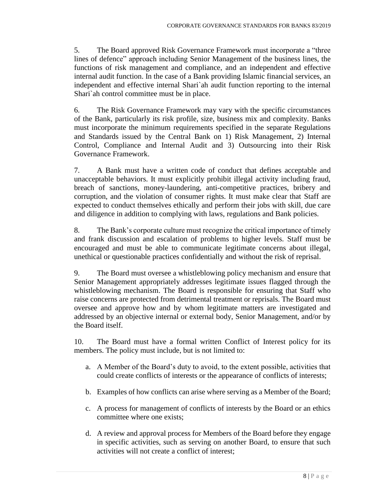5. The Board approved Risk Governance Framework must incorporate a "three lines of defence" approach including Senior Management of the business lines, the functions of risk management and compliance, and an independent and effective internal audit function. In the case of a Bank providing Islamic financial services, an independent and effective internal Shari`ah audit function reporting to the internal Shari`ah control committee must be in place.

6. The Risk Governance Framework may vary with the specific circumstances of the Bank, particularly its risk profile, size, business mix and complexity. Banks must incorporate the minimum requirements specified in the separate Regulations and Standards issued by the Central Bank on 1) Risk Management, 2) Internal Control, Compliance and Internal Audit and 3) Outsourcing into their Risk Governance Framework.

7. A Bank must have a written code of conduct that defines acceptable and unacceptable behaviors. It must explicitly prohibit illegal activity including fraud, breach of sanctions, money-laundering, anti-competitive practices, bribery and corruption, and the violation of consumer rights. It must make clear that Staff are expected to conduct themselves ethically and perform their jobs with skill, due care and diligence in addition to complying with laws, regulations and Bank policies.

8. The Bank's corporate culture must recognize the critical importance of timely and frank discussion and escalation of problems to higher levels. Staff must be encouraged and must be able to communicate legitimate concerns about illegal, unethical or questionable practices confidentially and without the risk of reprisal.

9. The Board must oversee a whistleblowing policy mechanism and ensure that Senior Management appropriately addresses legitimate issues flagged through the whistleblowing mechanism. The Board is responsible for ensuring that Staff who raise concerns are protected from detrimental treatment or reprisals. The Board must oversee and approve how and by whom legitimate matters are investigated and addressed by an objective internal or external body, Senior Management, and/or by the Board itself.

10. The Board must have a formal written Conflict of Interest policy for its members. The policy must include, but is not limited to:

- a. A Member of the Board's duty to avoid, to the extent possible, activities that could create conflicts of interests or the appearance of conflicts of interests;
- b. Examples of how conflicts can arise where serving as a Member of the Board;
- c. A process for management of conflicts of interests by the Board or an ethics committee where one exists;
- d. A review and approval process for Members of the Board before they engage in specific activities, such as serving on another Board, to ensure that such activities will not create a conflict of interest;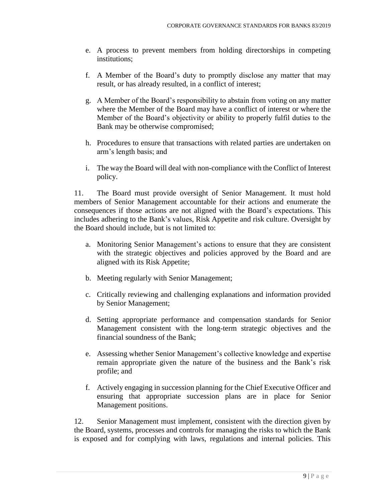- e. A process to prevent members from holding directorships in competing institutions;
- f. A Member of the Board's duty to promptly disclose any matter that may result, or has already resulted, in a conflict of interest;
- g. A Member of the Board's responsibility to abstain from voting on any matter where the Member of the Board may have a conflict of interest or where the Member of the Board's objectivity or ability to properly fulfil duties to the Bank may be otherwise compromised;
- h. Procedures to ensure that transactions with related parties are undertaken on arm's length basis; and
- i. The way the Board will deal with non-compliance with the Conflict of Interest policy.

11. The Board must provide oversight of Senior Management. It must hold members of Senior Management accountable for their actions and enumerate the consequences if those actions are not aligned with the Board's expectations. This includes adhering to the Bank's values, Risk Appetite and risk culture. Oversight by the Board should include, but is not limited to:

- a. Monitoring Senior Management's actions to ensure that they are consistent with the strategic objectives and policies approved by the Board and are aligned with its Risk Appetite;
- b. Meeting regularly with Senior Management;
- c. Critically reviewing and challenging explanations and information provided by Senior Management;
- d. Setting appropriate performance and compensation standards for Senior Management consistent with the long-term strategic objectives and the financial soundness of the Bank;
- e. Assessing whether Senior Management's collective knowledge and expertise remain appropriate given the nature of the business and the Bank's risk profile; and
- f. Actively engaging in succession planning for the Chief Executive Officer and ensuring that appropriate succession plans are in place for Senior Management positions.

12. Senior Management must implement, consistent with the direction given by the Board, systems, processes and controls for managing the risks to which the Bank is exposed and for complying with laws, regulations and internal policies. This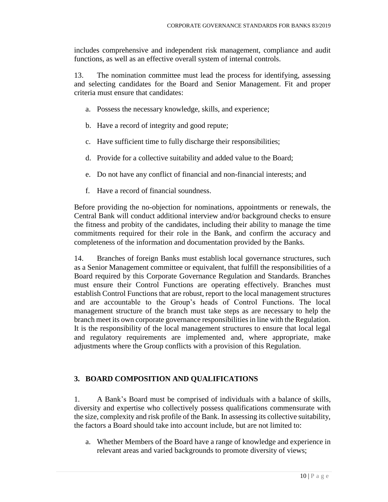includes comprehensive and independent risk management, compliance and audit functions, as well as an effective overall system of internal controls.

13. The nomination committee must lead the process for identifying, assessing and selecting candidates for the Board and Senior Management. Fit and proper criteria must ensure that candidates:

- a. Possess the necessary knowledge, skills, and experience;
- b. Have a record of integrity and good repute;
- c. Have sufficient time to fully discharge their responsibilities;
- d. Provide for a collective suitability and added value to the Board;
- e. Do not have any conflict of financial and non-financial interests; and
- f. Have a record of financial soundness.

Before providing the no-objection for nominations, appointments or renewals, the Central Bank will conduct additional interview and/or background checks to ensure the fitness and probity of the candidates, including their ability to manage the time commitments required for their role in the Bank, and confirm the accuracy and completeness of the information and documentation provided by the Banks.

14. Branches of foreign Banks must establish local governance structures, such as a Senior Management committee or equivalent, that fulfill the responsibilities of a Board required by this Corporate Governance Regulation and Standards. Branches must ensure their Control Functions are operating effectively. Branches must establish Control Functions that are robust, report to the local management structures and are accountable to the Group's heads of Control Functions. The local management structure of the branch must take steps as are necessary to help the branch meet its own corporate governance responsibilities in line with the Regulation. It is the responsibility of the local management structures to ensure that local legal and regulatory requirements are implemented and, where appropriate, make adjustments where the Group conflicts with a provision of this Regulation.

#### <span id="page-9-0"></span>**3. BOARD COMPOSITION AND QUALIFICATIONS**

1. A Bank's Board must be comprised of individuals with a balance of skills, diversity and expertise who collectively possess qualifications commensurate with the size, complexity and risk profile of the Bank. In assessing its collective suitability, the factors a Board should take into account include, but are not limited to:

a. Whether Members of the Board have a range of knowledge and experience in relevant areas and varied backgrounds to promote diversity of views;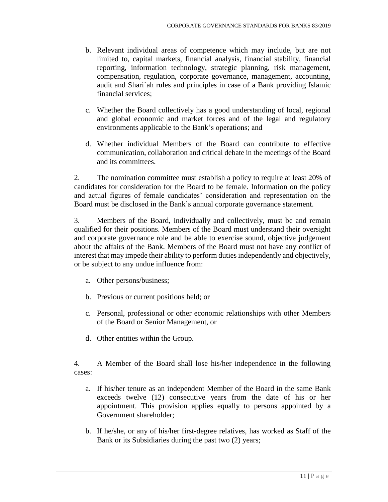- b. Relevant individual areas of competence which may include, but are not limited to, capital markets, financial analysis, financial stability, financial reporting, information technology, strategic planning, risk management, compensation, regulation, corporate governance, management, accounting, audit and Shari`ah rules and principles in case of a Bank providing Islamic financial services;
- c. Whether the Board collectively has a good understanding of local, regional and global economic and market forces and of the legal and regulatory environments applicable to the Bank's operations; and
- d. Whether individual Members of the Board can contribute to effective communication, collaboration and critical debate in the meetings of the Board and its committees.

2. The nomination committee must establish a policy to require at least 20% of candidates for consideration for the Board to be female. Information on the policy and actual figures of female candidates' consideration and representation on the Board must be disclosed in the Bank's annual corporate governance statement.

3. Members of the Board, individually and collectively, must be and remain qualified for their positions. Members of the Board must understand their oversight and corporate governance role and be able to exercise sound, objective judgement about the affairs of the Bank. Members of the Board must not have any conflict of interest that may impede their ability to perform duties independently and objectively, or be subject to any undue influence from:

- a. Other persons/business;
- b. Previous or current positions held; or
- c. Personal, professional or other economic relationships with other Members of the Board or Senior Management, or
- d. Other entities within the Group.

4. A Member of the Board shall lose his/her independence in the following cases:

- a. If his/her tenure as an independent Member of the Board in the same Bank exceeds twelve (12) consecutive years from the date of his or her appointment. This provision applies equally to persons appointed by a Government shareholder;
- b. If he/she, or any of his/her first-degree relatives, has worked as Staff of the Bank or its Subsidiaries during the past two (2) years;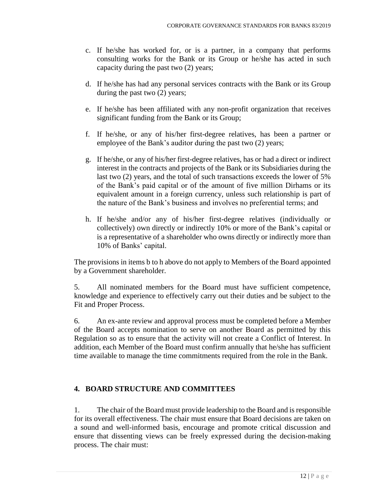- c. If he/she has worked for, or is a partner, in a company that performs consulting works for the Bank or its Group or he/she has acted in such capacity during the past two (2) years;
- d. If he/she has had any personal services contracts with the Bank or its Group during the past two (2) years;
- e. If he/she has been affiliated with any non-profit organization that receives significant funding from the Bank or its Group;
- f. If he/she, or any of his/her first-degree relatives, has been a partner or employee of the Bank's auditor during the past two (2) years;
- g. If he/she, or any of his/her first-degree relatives, has or had a direct or indirect interest in the contracts and projects of the Bank or its Subsidiaries during the last two (2) years, and the total of such transactions exceeds the lower of 5% of the Bank's paid capital or of the amount of five million Dirhams or its equivalent amount in a foreign currency, unless such relationship is part of the nature of the Bank's business and involves no preferential terms; and
- h. If he/she and/or any of his/her first-degree relatives (individually or collectively) own directly or indirectly 10% or more of the Bank's capital or is a representative of a shareholder who owns directly or indirectly more than 10% of Banks' capital.

The provisions in items b to h above do not apply to Members of the Board appointed by a Government shareholder.

5. All nominated members for the Board must have sufficient competence, knowledge and experience to effectively carry out their duties and be subject to the Fit and Proper Process.

6. An ex-ante review and approval process must be completed before a Member of the Board accepts nomination to serve on another Board as permitted by this Regulation so as to ensure that the activity will not create a Conflict of Interest. In addition, each Member of the Board must confirm annually that he/she has sufficient time available to manage the time commitments required from the role in the Bank.

# <span id="page-11-0"></span>**4. BOARD STRUCTURE AND COMMITTEES**

1. The chair of the Board must provide leadership to the Board and is responsible for its overall effectiveness. The chair must ensure that Board decisions are taken on a sound and well-informed basis, encourage and promote critical discussion and ensure that dissenting views can be freely expressed during the decision-making process. The chair must: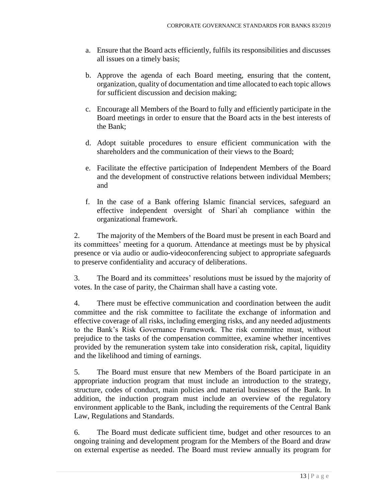- a. Ensure that the Board acts efficiently, fulfils its responsibilities and discusses all issues on a timely basis;
- b. Approve the agenda of each Board meeting, ensuring that the content, organization, quality of documentation and time allocated to each topic allows for sufficient discussion and decision making;
- c. Encourage all Members of the Board to fully and efficiently participate in the Board meetings in order to ensure that the Board acts in the best interests of the Bank;
- d. Adopt suitable procedures to ensure efficient communication with the shareholders and the communication of their views to the Board;
- e. Facilitate the effective participation of Independent Members of the Board and the development of constructive relations between individual Members; and
- f. In the case of a Bank offering Islamic financial services, safeguard an effective independent oversight of Shari`ah compliance within the organizational framework.

2. The majority of the Members of the Board must be present in each Board and its committees' meeting for a quorum. Attendance at meetings must be by physical presence or via audio or audio-videoconferencing subject to appropriate safeguards to preserve confidentiality and accuracy of deliberations.

3. The Board and its committees' resolutions must be issued by the majority of votes. In the case of parity, the Chairman shall have a casting vote.

4. There must be effective communication and coordination between the audit committee and the risk committee to facilitate the exchange of information and effective coverage of all risks, including emerging risks, and any needed adjustments to the Bank's Risk Governance Framework. The risk committee must, without prejudice to the tasks of the compensation committee, examine whether incentives provided by the remuneration system take into consideration risk, capital, liquidity and the likelihood and timing of earnings.

5. The Board must ensure that new Members of the Board participate in an appropriate induction program that must include an introduction to the strategy, structure, codes of conduct, main policies and material businesses of the Bank. In addition, the induction program must include an overview of the regulatory environment applicable to the Bank, including the requirements of the Central Bank Law, Regulations and Standards.

6. The Board must dedicate sufficient time, budget and other resources to an ongoing training and development program for the Members of the Board and draw on external expertise as needed. The Board must review annually its program for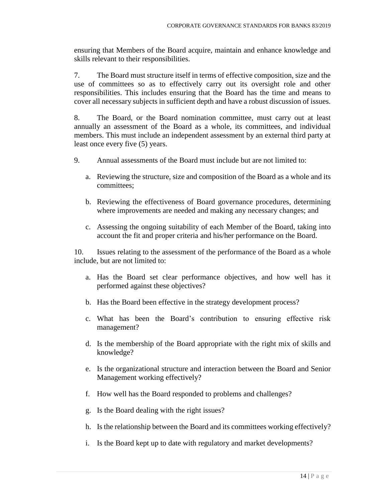ensuring that Members of the Board acquire, maintain and enhance knowledge and skills relevant to their responsibilities.

7. The Board must structure itself in terms of effective composition, size and the use of committees so as to effectively carry out its oversight role and other responsibilities. This includes ensuring that the Board has the time and means to cover all necessary subjects in sufficient depth and have a robust discussion of issues.

8. The Board, or the Board nomination committee, must carry out at least annually an assessment of the Board as a whole, its committees, and individual members. This must include an independent assessment by an external third party at least once every five (5) years.

- 9. Annual assessments of the Board must include but are not limited to:
	- a. Reviewing the structure, size and composition of the Board as a whole and its committees;
	- b. Reviewing the effectiveness of Board governance procedures, determining where improvements are needed and making any necessary changes; and
	- c. Assessing the ongoing suitability of each Member of the Board, taking into account the fit and proper criteria and his/her performance on the Board.

10. Issues relating to the assessment of the performance of the Board as a whole include, but are not limited to:

- a. Has the Board set clear performance objectives, and how well has it performed against these objectives?
- b. Has the Board been effective in the strategy development process?
- c. What has been the Board's contribution to ensuring effective risk management?
- d. Is the membership of the Board appropriate with the right mix of skills and knowledge?
- e. Is the organizational structure and interaction between the Board and Senior Management working effectively?
- f. How well has the Board responded to problems and challenges?
- g. Is the Board dealing with the right issues?
- h. Is the relationship between the Board and its committees working effectively?
- i. Is the Board kept up to date with regulatory and market developments?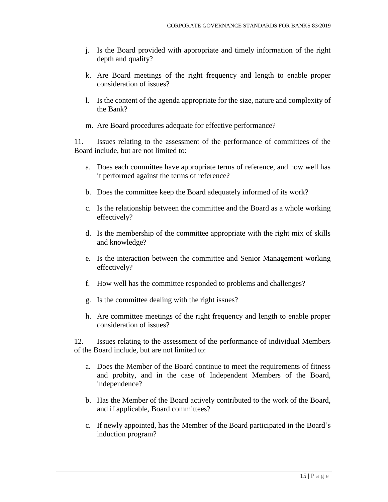- j. Is the Board provided with appropriate and timely information of the right depth and quality?
- k. Are Board meetings of the right frequency and length to enable proper consideration of issues?
- l. Is the content of the agenda appropriate for the size, nature and complexity of the Bank?
- m. Are Board procedures adequate for effective performance?

11. Issues relating to the assessment of the performance of committees of the Board include, but are not limited to:

- a. Does each committee have appropriate terms of reference, and how well has it performed against the terms of reference?
- b. Does the committee keep the Board adequately informed of its work?
- c. Is the relationship between the committee and the Board as a whole working effectively?
- d. Is the membership of the committee appropriate with the right mix of skills and knowledge?
- e. Is the interaction between the committee and Senior Management working effectively?
- f. How well has the committee responded to problems and challenges?
- g. Is the committee dealing with the right issues?
- h. Are committee meetings of the right frequency and length to enable proper consideration of issues?

12. Issues relating to the assessment of the performance of individual Members of the Board include, but are not limited to:

- a. Does the Member of the Board continue to meet the requirements of fitness and probity, and in the case of Independent Members of the Board, independence?
- b. Has the Member of the Board actively contributed to the work of the Board, and if applicable, Board committees?
- c. If newly appointed, has the Member of the Board participated in the Board's induction program?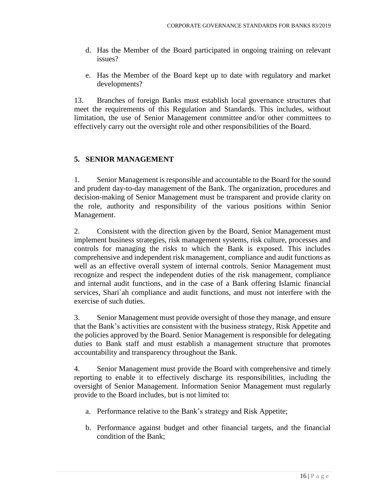- d. Has the Member of the Board participated in ongoing training on relevant issues?
- e. Has the Member of the Board kept up to date with regulatory and market developments?

13. Branches of foreign Banks must establish local governance structures that meet the requirements of this Regulation and Standards. This includes, without limitation, the use of Senior Management committee and/or other committees to effectively carry out the oversight role and other responsibilities of the Board.

#### <span id="page-15-0"></span>**5. SENIOR MANAGEMENT**

1. Senior Management is responsible and accountable to the Board for the sound and prudent day-to-day management of the Bank. The organization, procedures and decision-making of Senior Management must be transparent and provide clarity on the role, authority and responsibility of the various positions within Senior Management.

2. Consistent with the direction given by the Board, Senior Management must implement business strategies, risk management systems, risk culture, processes and controls for managing the risks to which the Bank is exposed. This includes comprehensive and independent risk management, compliance and audit functions as well as an effective overall system of internal controls. Senior Management must recognize and respect the independent duties of the risk management, compliance and internal audit functions, and in the case of a Bank offering Islamic financial services, Shari`ah compliance and audit functions, and must not interfere with the exercise of such duties.

3. Senior Management must provide oversight of those they manage, and ensure that the Bank's activities are consistent with the business strategy, Risk Appetite and the policies approved by the Board. Senior Management is responsible for delegating duties to Bank staff and must establish a management structure that promotes accountability and transparency throughout the Bank.

4. Senior Management must provide the Board with comprehensive and timely reporting to enable it to effectively discharge its responsibilities, including the oversight of Senior Management. Information Senior Management must regularly provide to the Board includes, but is not limited to:

- a. Performance relative to the Bank's strategy and Risk Appetite;
- b. Performance against budget and other financial targets, and the financial condition of the Bank;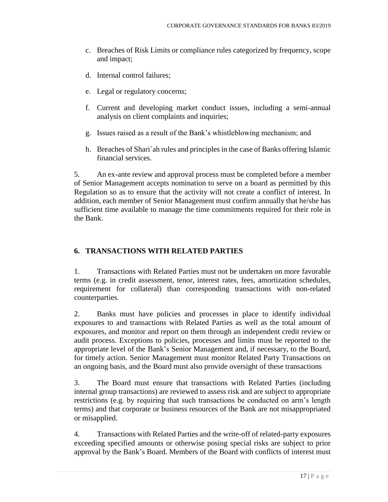- c. Breaches of Risk Limits or compliance rules categorized by frequency, scope and impact;
- d. Internal control failures;
- e. Legal or regulatory concerns;
- f. Current and developing market conduct issues, including a semi-annual analysis on client complaints and inquiries;
- g. Issues raised as a result of the Bank's whistleblowing mechanism; and
- h. Breaches of Shari`ah rules and principles in the case of Banks offering Islamic financial services.

5. An ex-ante review and approval process must be completed before a member of Senior Management accepts nomination to serve on a board as permitted by this Regulation so as to ensure that the activity will not create a conflict of interest. In addition, each member of Senior Management must confirm annually that he/she has sufficient time available to manage the time commitments required for their role in the Bank.

# <span id="page-16-0"></span>**6. TRANSACTIONS WITH RELATED PARTIES**

1. Transactions with Related Parties must not be undertaken on more favorable terms (e.g. in credit assessment, tenor, interest rates, fees, amortization schedules, requirement for collateral) than corresponding transactions with non-related counterparties.

2. Banks must have policies and processes in place to identify individual exposures to and transactions with Related Parties as well as the total amount of exposures, and monitor and report on them through an independent credit review or audit process. Exceptions to policies, processes and limits must be reported to the appropriate level of the Bank's Senior Management and, if necessary, to the Board, for timely action. Senior Management must monitor Related Party Transactions on an ongoing basis, and the Board must also provide oversight of these transactions

3. The Board must ensure that transactions with Related Parties (including internal group transactions) are reviewed to assess risk and are subject to appropriate restrictions (e.g. by requiring that such transactions be conducted on arm's length terms) and that corporate or business resources of the Bank are not misappropriated or misapplied.

4. Transactions with Related Parties and the write-off of related-party exposures exceeding specified amounts or otherwise posing special risks are subject to prior approval by the Bank's Board. Members of the Board with conflicts of interest must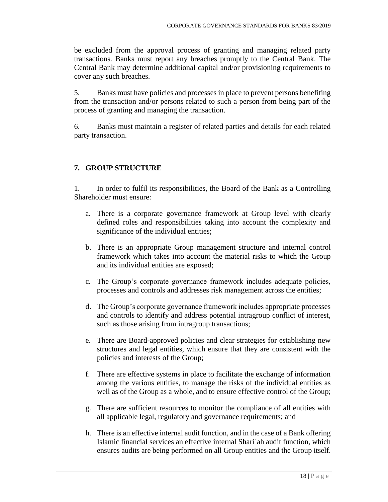be excluded from the approval process of granting and managing related party transactions. Banks must report any breaches promptly to the Central Bank. The Central Bank may determine additional capital and/or provisioning requirements to cover any such breaches.

5. Banks must have policies and processes in place to prevent persons benefiting from the transaction and/or persons related to such a person from being part of the process of granting and managing the transaction.

6. Banks must maintain a register of related parties and details for each related party transaction.

### <span id="page-17-0"></span>**7. GROUP STRUCTURE**

1. In order to fulfil its responsibilities, the Board of the Bank as a Controlling Shareholder must ensure:

- a. There is a corporate governance framework at Group level with clearly defined roles and responsibilities taking into account the complexity and significance of the individual entities;
- b. There is an appropriate Group management structure and internal control framework which takes into account the material risks to which the Group and its individual entities are exposed;
- c. The Group's corporate governance framework includes adequate policies, processes and controls and addresses risk management across the entities;
- d. The Group's corporate governance framework includes appropriate processes and controls to identify and address potential intragroup conflict of interest, such as those arising from intragroup transactions;
- e. There are Board-approved policies and clear strategies for establishing new structures and legal entities, which ensure that they are consistent with the policies and interests of the Group;
- f. There are effective systems in place to facilitate the exchange of information among the various entities, to manage the risks of the individual entities as well as of the Group as a whole, and to ensure effective control of the Group;
- g. There are sufficient resources to monitor the compliance of all entities with all applicable legal, regulatory and governance requirements; and
- h. There is an effective internal audit function, and in the case of a Bank offering Islamic financial services an effective internal Shari`ah audit function, which ensures audits are being performed on all Group entities and the Group itself.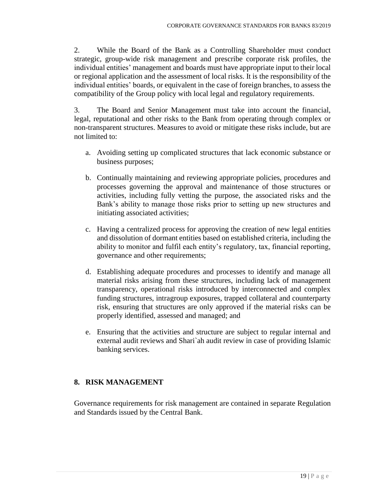2. While the Board of the Bank as a Controlling Shareholder must conduct strategic, group-wide risk management and prescribe corporate risk profiles, the individual entities' management and boards must have appropriate input to their local or regional application and the assessment of local risks. It is the responsibility of the individual entities' boards, or equivalent in the case of foreign branches, to assess the compatibility of the Group policy with local legal and regulatory requirements.

3. The Board and Senior Management must take into account the financial, legal, reputational and other risks to the Bank from operating through complex or non-transparent structures. Measures to avoid or mitigate these risks include, but are not limited to:

- a. Avoiding setting up complicated structures that lack economic substance or business purposes;
- b. Continually maintaining and reviewing appropriate policies, procedures and processes governing the approval and maintenance of those structures or activities, including fully vetting the purpose, the associated risks and the Bank's ability to manage those risks prior to setting up new structures and initiating associated activities;
- c. Having a centralized process for approving the creation of new legal entities and dissolution of dormant entities based on established criteria, including the ability to monitor and fulfil each entity's regulatory, tax, financial reporting, governance and other requirements;
- d. Establishing adequate procedures and processes to identify and manage all material risks arising from these structures, including lack of management transparency, operational risks introduced by interconnected and complex funding structures, intragroup exposures, trapped collateral and counterparty risk, ensuring that structures are only approved if the material risks can be properly identified, assessed and managed; and
- e. Ensuring that the activities and structure are subject to regular internal and external audit reviews and Shari`ah audit review in case of providing Islamic banking services.

# <span id="page-18-0"></span>**8. RISK MANAGEMENT**

Governance requirements for risk management are contained in separate Regulation and Standards issued by the Central Bank.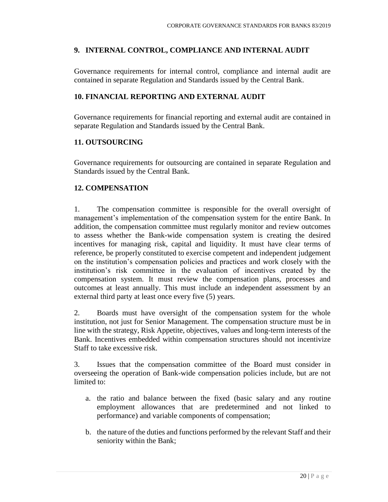#### <span id="page-19-0"></span>**9. INTERNAL CONTROL, COMPLIANCE AND INTERNAL AUDIT**

Governance requirements for internal control, compliance and internal audit are contained in separate Regulation and Standards issued by the Central Bank.

### <span id="page-19-1"></span>**10. FINANCIAL REPORTING AND EXTERNAL AUDIT**

Governance requirements for financial reporting and external audit are contained in separate Regulation and Standards issued by the Central Bank.

# <span id="page-19-2"></span>**11. OUTSOURCING**

Governance requirements for outsourcing are contained in separate Regulation and Standards issued by the Central Bank.

# <span id="page-19-3"></span>**12. COMPENSATION**

1. The compensation committee is responsible for the overall oversight of management's implementation of the compensation system for the entire Bank. In addition, the compensation committee must regularly monitor and review outcomes to assess whether the Bank-wide compensation system is creating the desired incentives for managing risk, capital and liquidity. It must have clear terms of reference, be properly constituted to exercise competent and independent judgement on the institution's compensation policies and practices and work closely with the institution's risk committee in the evaluation of incentives created by the compensation system. It must review the compensation plans, processes and outcomes at least annually. This must include an independent assessment by an external third party at least once every five (5) years.

2. Boards must have oversight of the compensation system for the whole institution, not just for Senior Management. The compensation structure must be in line with the strategy, Risk Appetite, objectives, values and long-term interests of the Bank. Incentives embedded within compensation structures should not incentivize Staff to take excessive risk.

3. Issues that the compensation committee of the Board must consider in overseeing the operation of Bank-wide compensation policies include, but are not limited to:

- a. the ratio and balance between the fixed (basic salary and any routine employment allowances that are predetermined and not linked to performance) and variable components of compensation;
- b. the nature of the duties and functions performed by the relevant Staff and their seniority within the Bank;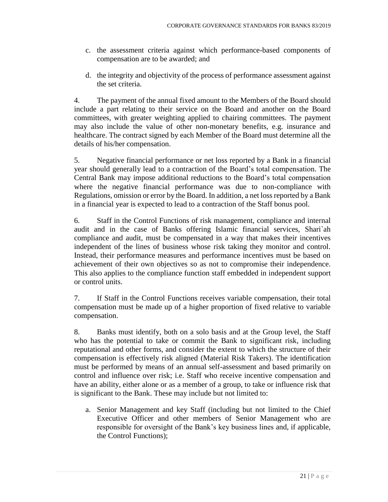- c. the assessment criteria against which performance-based components of compensation are to be awarded; and
- d. the integrity and objectivity of the process of performance assessment against the set criteria.

4. The payment of the annual fixed amount to the Members of the Board should include a part relating to their service on the Board and another on the Board committees, with greater weighting applied to chairing committees. The payment may also include the value of other non-monetary benefits, e.g. insurance and healthcare. The contract signed by each Member of the Board must determine all the details of his/her compensation.

5. Negative financial performance or net loss reported by a Bank in a financial year should generally lead to a contraction of the Board's total compensation. The Central Bank may impose additional reductions to the Board's total compensation where the negative financial performance was due to non-compliance with Regulations, omission or error by the Board. In addition, a net loss reported by a Bank in a financial year is expected to lead to a contraction of the Staff bonus pool.

6. Staff in the Control Functions of risk management, compliance and internal audit and in the case of Banks offering Islamic financial services, Shari`ah compliance and audit, must be compensated in a way that makes their incentives independent of the lines of business whose risk taking they monitor and control. Instead, their performance measures and performance incentives must be based on achievement of their own objectives so as not to compromise their independence. This also applies to the compliance function staff embedded in independent support or control units.

7. If Staff in the Control Functions receives variable compensation, their total compensation must be made up of a higher proportion of fixed relative to variable compensation.

8. Banks must identify, both on a solo basis and at the Group level, the Staff who has the potential to take or commit the Bank to significant risk, including reputational and other forms, and consider the extent to which the structure of their compensation is effectively risk aligned (Material Risk Takers). The identification must be performed by means of an annual self-assessment and based primarily on control and influence over risk; i.e. Staff who receive incentive compensation and have an ability, either alone or as a member of a group, to take or influence risk that is significant to the Bank. These may include but not limited to:

a. Senior Management and key Staff (including but not limited to the Chief Executive Officer and other members of Senior Management who are responsible for oversight of the Bank's key business lines and, if applicable, the Control Functions);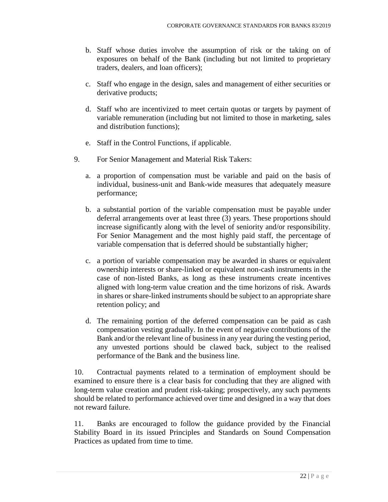- b. Staff whose duties involve the assumption of risk or the taking on of exposures on behalf of the Bank (including but not limited to proprietary traders, dealers, and loan officers);
- c. Staff who engage in the design, sales and management of either securities or derivative products;
- d. Staff who are incentivized to meet certain quotas or targets by payment of variable remuneration (including but not limited to those in marketing, sales and distribution functions);
- e. Staff in the Control Functions, if applicable.
- 9. For Senior Management and Material Risk Takers:
	- a. a proportion of compensation must be variable and paid on the basis of individual, business-unit and Bank-wide measures that adequately measure performance;
	- b. a substantial portion of the variable compensation must be payable under deferral arrangements over at least three (3) years. These proportions should increase significantly along with the level of seniority and/or responsibility. For Senior Management and the most highly paid staff, the percentage of variable compensation that is deferred should be substantially higher;
	- c. a portion of variable compensation may be awarded in shares or equivalent ownership interests or share-linked or equivalent non-cash instruments in the case of non-listed Banks, as long as these instruments create incentives aligned with long-term value creation and the time horizons of risk. Awards in shares or share-linked instruments should be subject to an appropriate share retention policy; and
	- d. The remaining portion of the deferred compensation can be paid as cash compensation vesting gradually. In the event of negative contributions of the Bank and/or the relevant line of business in any year during the vesting period, any unvested portions should be clawed back, subject to the realised performance of the Bank and the business line.

10. Contractual payments related to a termination of employment should be examined to ensure there is a clear basis for concluding that they are aligned with long-term value creation and prudent risk-taking; prospectively, any such payments should be related to performance achieved over time and designed in a way that does not reward failure.

11. Banks are encouraged to follow the guidance provided by the Financial Stability Board in its issued Principles and Standards on Sound Compensation Practices as updated from time to time.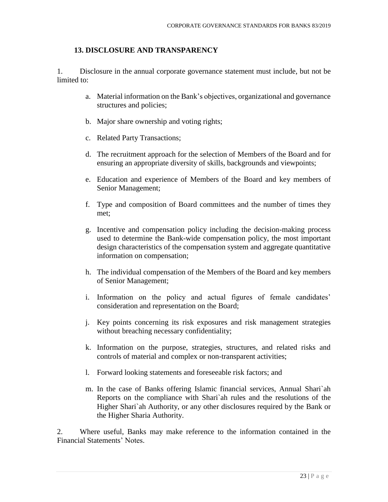#### <span id="page-22-0"></span>**13. DISCLOSURE AND TRANSPARENCY**

1. Disclosure in the annual corporate governance statement must include, but not be limited to:

- a. Material information on the Bank's objectives, organizational and governance structures and policies;
- b. Major share ownership and voting rights;
- c. Related Party Transactions;
- d. The recruitment approach for the selection of Members of the Board and for ensuring an appropriate diversity of skills, backgrounds and viewpoints;
- e. Education and experience of Members of the Board and key members of Senior Management;
- f. Type and composition of Board committees and the number of times they met;
- g. Incentive and compensation policy including the decision-making process used to determine the Bank-wide compensation policy, the most important design characteristics of the compensation system and aggregate quantitative information on compensation;
- h. The individual compensation of the Members of the Board and key members of Senior Management;
- i. Information on the policy and actual figures of female candidates' consideration and representation on the Board;
- j. Key points concerning its risk exposures and risk management strategies without breaching necessary confidentiality;
- k. Information on the purpose, strategies, structures, and related risks and controls of material and complex or non-transparent activities;
- l. Forward looking statements and foreseeable risk factors; and
- m. In the case of Banks offering Islamic financial services, Annual Shari`ah Reports on the compliance with Shari`ah rules and the resolutions of the Higher Shari`ah Authority, or any other disclosures required by the Bank or the Higher Sharia Authority.

2. Where useful, Banks may make reference to the information contained in the Financial Statements' Notes.